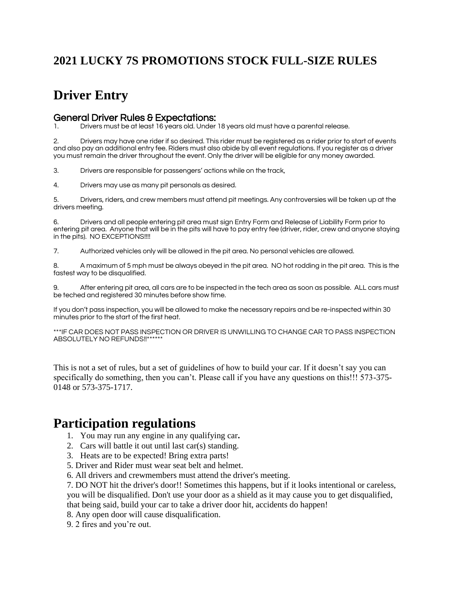## **2021 LUCKY 7S PROMOTIONS STOCK FULL-SIZE RULES**

# **Driver Entry**

### General Driver Rules & Expectations:

1. Drivers must be at least 16 years old. Under 18 years old must have a parental release.

Drivers may have one rider if so desired. This rider must be registered as a rider prior to start of events and also pay an additional entry fee. Riders must also abide by all event regulations. If you register as a driver you must remain the driver throughout the event. Only the driver will be eligible for any money awarded.

3. Drivers are responsible for passengers' actions while on the track,

4. Drivers may use as many pit personals as desired.

5. Drivers, riders, and crew members must attend pit meetings. Any controversies will be taken up at the drivers meeting.

6. Drivers and all people entering pit area must sign Entry Form and Release of Liability Form prior to entering pit area. Anyone that will be in the pits will have to pay entry fee (driver, rider, crew and anyone staying in the pits). NO EXCEPTIONS!!!!

7. Authorized vehicles only will be allowed in the pit area. No personal vehicles are allowed.

8. A maximum of 5 mph must be always obeyed in the pit area. NO hot rodding in the pit area. This is the fastest way to be disqualified.

9. After entering pit area, all cars are to be inspected in the tech area as soon as possible. ALL cars must be teched and registered 30 minutes before show time.

If you don't pass inspection, you will be allowed to make the necessary repairs and be re-inspected within 30 minutes prior to the start of the first heat.

\*\*\*IF CAR DOES NOT PASS INSPECTION OR DRIVER IS UNWILLING TO CHANGE CAR TO PASS INSPECTION ABSOLUTELY NO REFUNDS!!\*\*\*\*\*\*

This is not a set of rules, but a set of guidelines of how to build your car. If it doesn't say you can specifically do something, then you can't. Please call if you have any questions on this!!! 573-375- 0148 or 573-375-1717.

## **Participation regulations**

- 1. You may run any engine in any qualifying car**.**
- 2. Cars will battle it out until last car(s) standing.
- 3. Heats are to be expected! Bring extra parts!
- 5. Driver and Rider must wear seat belt and helmet.
- 6. All drivers and crewmembers must attend the driver's meeting.

7. DO NOT hit the driver's door!! Sometimes this happens, but if it looks intentional or careless,

you will be disqualified. Don't use your door as a shield as it may cause you to get disqualified,

that being said, build your car to take a driver door hit, accidents do happen!

8. Any open door will cause disqualification.

9. 2 fires and you're out.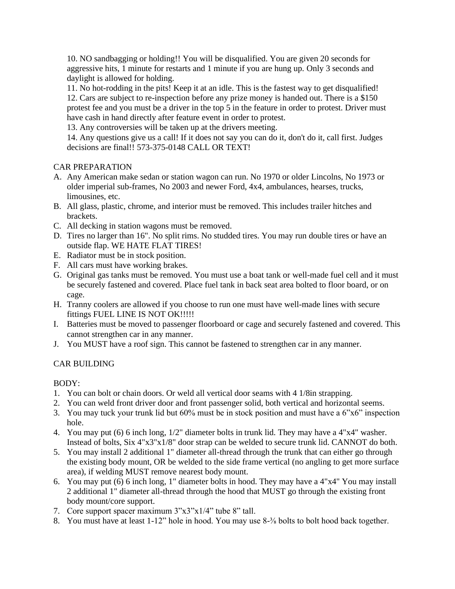10. NO sandbagging or holding!! You will be disqualified. You are given 20 seconds for aggressive hits, 1 minute for restarts and 1 minute if you are hung up. Only 3 seconds and daylight is allowed for holding.

11. No hot-rodding in the pits! Keep it at an idle. This is the fastest way to get disqualified! 12. Cars are subject to re-inspection before any prize money is handed out. There is a \$150 protest fee and you must be a driver in the top 5 in the feature in order to protest. Driver must have cash in hand directly after feature event in order to protest.

13. Any controversies will be taken up at the drivers meeting.

14. Any questions give us a call! If it does not say you can do it, don't do it, call first. Judges decisions are final!! 573-375-0148 CALL OR TEXT!

#### CAR PREPARATION

- A. Any American make sedan or station wagon can run. No 1970 or older Lincolns, No 1973 or older imperial sub-frames, No 2003 and newer Ford, 4x4, ambulances, hearses, trucks, limousines, etc.
- B. All glass, plastic, chrome, and interior must be removed. This includes trailer hitches and brackets.
- C. All decking in station wagons must be removed.
- D. Tires no larger than 16". No split rims. No studded tires. You may run double tires or have an outside flap. WE HATE FLAT TIRES!
- E. Radiator must be in stock position.
- F. All cars must have working brakes.
- G. Original gas tanks must be removed. You must use a boat tank or well-made fuel cell and it must be securely fastened and covered. Place fuel tank in back seat area bolted to floor board, or on cage.
- H. Tranny coolers are allowed if you choose to run one must have well-made lines with secure fittings FUEL LINE IS NOT OK!!!!!
- I. Batteries must be moved to passenger floorboard or cage and securely fastened and covered. This cannot strengthen car in any manner.
- J. You MUST have a roof sign. This cannot be fastened to strengthen car in any manner.

#### CAR BUILDING

#### BODY:

- 1. You can bolt or chain doors. Or weld all vertical door seams with 4 1/8in strapping.
- 2. You can weld front driver door and front passenger solid, both vertical and horizontal seems.
- 3. You may tuck your trunk lid but 60% must be in stock position and must have a 6"x6" inspection hole.
- 4. You may put (6) 6 inch long, 1/2" diameter bolts in trunk lid. They may have a 4"x4" washer. Instead of bolts, Six 4"x3"x1/8" door strap can be welded to secure trunk lid. CANNOT do both.
- 5. You may install 2 additional 1" diameter all-thread through the trunk that can either go through the existing body mount, OR be welded to the side frame vertical (no angling to get more surface area), if welding MUST remove nearest body mount.
- 6. You may put (6) 6 inch long, 1" diameter bolts in hood. They may have a 4"x4" You may install 2 additional 1" diameter all-thread through the hood that MUST go through the existing front body mount/core support.
- 7. Core support spacer maximum 3"x3"x1/4" tube 8" tall.
- 8. You must have at least 1-12" hole in hood. You may use 8-<sup>3</sup>% bolts to bolt hood back together.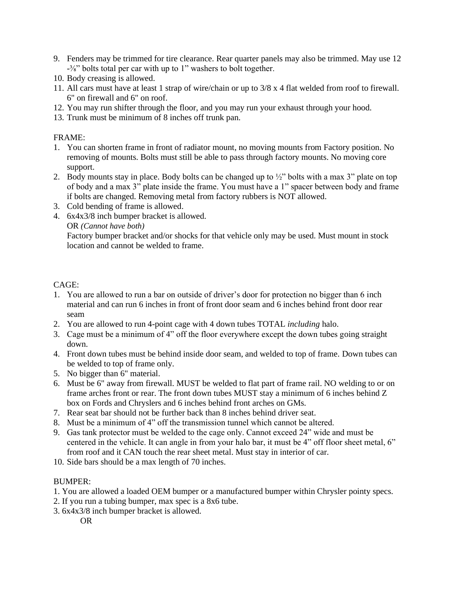- 9. Fenders may be trimmed for tire clearance. Rear quarter panels may also be trimmed. May use 12  $-3/8$ " bolts total per car with up to 1" washers to bolt together.
- 10. Body creasing is allowed.
- 11. All cars must have at least 1 strap of wire/chain or up to 3/8 x 4 flat welded from roof to firewall. 6" on firewall and 6" on roof.
- 12. You may run shifter through the floor, and you may run your exhaust through your hood.
- 13. Trunk must be minimum of 8 inches off trunk pan.

#### FRAME:

- 1. You can shorten frame in front of radiator mount, no moving mounts from Factory position. No removing of mounts. Bolts must still be able to pass through factory mounts. No moving core support.
- 2. Body mounts stay in place. Body bolts can be changed up to ½" bolts with a max 3" plate on top of body and a max 3" plate inside the frame. You must have a 1" spacer between body and frame if bolts are changed. Removing metal from factory rubbers is NOT allowed.
- 3. Cold bending of frame is allowed.
- 4. 6x4x3/8 inch bumper bracket is allowed. OR *(Cannot have both)*

Factory bumper bracket and/or shocks for that vehicle only may be used. Must mount in stock location and cannot be welded to frame.

#### CAGE:

- 1. You are allowed to run a bar on outside of driver's door for protection no bigger than 6 inch material and can run 6 inches in front of front door seam and 6 inches behind front door rear seam
- 2. You are allowed to run 4-point cage with 4 down tubes TOTAL *including* halo.
- 3. Cage must be a minimum of 4" off the floor everywhere except the down tubes going straight down.
- 4. Front down tubes must be behind inside door seam, and welded to top of frame. Down tubes can be welded to top of frame only.
- 5. No bigger than 6" material.
- 6. Must be 6" away from firewall. MUST be welded to flat part of frame rail. NO welding to or on frame arches front or rear. The front down tubes MUST stay a minimum of 6 inches behind Z box on Fords and Chryslers and 6 inches behind front arches on GMs.
- 7. Rear seat bar should not be further back than 8 inches behind driver seat.
- 8. Must be a minimum of 4" off the transmission tunnel which cannot be altered.
- 9. Gas tank protector must be welded to the cage only. Cannot exceed 24" wide and must be centered in the vehicle. It can angle in from your halo bar, it must be 4" off floor sheet metal, 6" from roof and it CAN touch the rear sheet metal. Must stay in interior of car.
- 10. Side bars should be a max length of 70 inches.

#### BUMPER:

- 1. You are allowed a loaded OEM bumper or a manufactured bumper within Chrysler pointy specs.
- 2. If you run a tubing bumper, max spec is a 8x6 tube.
- 3. 6x4x3/8 inch bumper bracket is allowed.